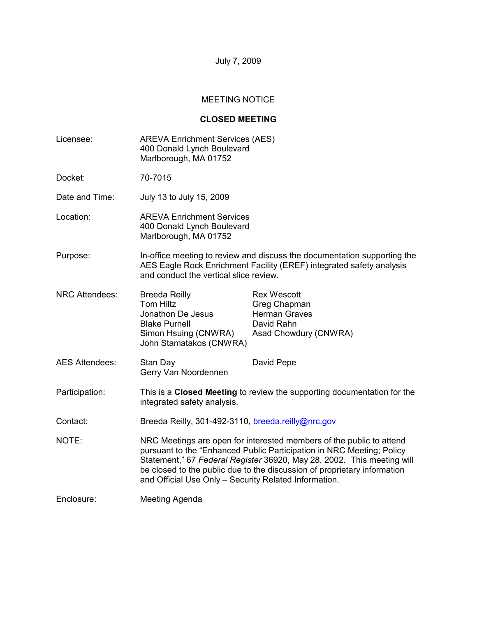July 7, 2009

# MEETING NOTICE

# **CLOSED MEETING**

| Licensee:             | <b>AREVA Enrichment Services (AES)</b><br>400 Donald Lynch Boulevard<br>Marlborough, MA 01752                                                                                                                                                                                                                                                                |                                                                                                   |  |
|-----------------------|--------------------------------------------------------------------------------------------------------------------------------------------------------------------------------------------------------------------------------------------------------------------------------------------------------------------------------------------------------------|---------------------------------------------------------------------------------------------------|--|
| Docket:               | 70-7015                                                                                                                                                                                                                                                                                                                                                      |                                                                                                   |  |
| Date and Time:        | July 13 to July 15, 2009                                                                                                                                                                                                                                                                                                                                     |                                                                                                   |  |
| Location:             | <b>AREVA Enrichment Services</b><br>400 Donald Lynch Boulevard<br>Marlborough, MA 01752                                                                                                                                                                                                                                                                      |                                                                                                   |  |
| Purpose:              | In-office meeting to review and discuss the documentation supporting the<br>AES Eagle Rock Enrichment Facility (EREF) integrated safety analysis<br>and conduct the vertical slice review.                                                                                                                                                                   |                                                                                                   |  |
| <b>NRC Attendees:</b> | <b>Breeda Reilly</b><br><b>Tom Hiltz</b><br>Jonathon De Jesus<br><b>Blake Purnell</b><br>Simon Hsuing (CNWRA)<br>John Stamatakos (CNWRA)                                                                                                                                                                                                                     | <b>Rex Wescott</b><br>Greg Chapman<br><b>Herman Graves</b><br>David Rahn<br>Asad Chowdury (CNWRA) |  |
| <b>AES Attendees:</b> | Stan Day<br>Gerry Van Noordennen                                                                                                                                                                                                                                                                                                                             | David Pepe                                                                                        |  |
| Participation:        | This is a Closed Meeting to review the supporting documentation for the<br>integrated safety analysis.                                                                                                                                                                                                                                                       |                                                                                                   |  |
| Contact:              | Breeda Reilly, 301-492-3110, breeda.reilly@nrc.gov                                                                                                                                                                                                                                                                                                           |                                                                                                   |  |
| NOTE:                 | NRC Meetings are open for interested members of the public to attend<br>pursuant to the "Enhanced Public Participation in NRC Meeting; Policy<br>Statement," 67 Federal Register 36920, May 28, 2002. This meeting will<br>be closed to the public due to the discussion of proprietary information<br>and Official Use Only - Security Related Information. |                                                                                                   |  |
| Enclosure:            | Meeting Agenda                                                                                                                                                                                                                                                                                                                                               |                                                                                                   |  |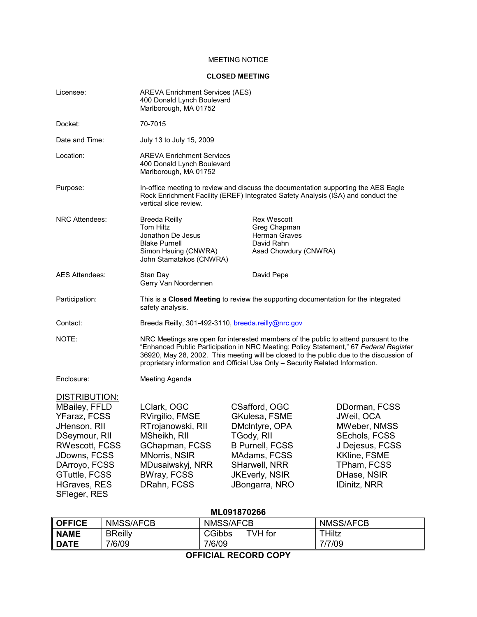### MEETING NOTICE

#### **CLOSED MEETING**

| Licensee:                                                                                                                                                                                                       | <b>AREVA Enrichment Services (AES)</b><br>400 Donald Lynch Boulevard<br>Marlborough, MA 01752                                                                                                                                                                                                                                                             |                                                                                                                                                                      |                                                                                                                                                                    |  |  |  |
|-----------------------------------------------------------------------------------------------------------------------------------------------------------------------------------------------------------------|-----------------------------------------------------------------------------------------------------------------------------------------------------------------------------------------------------------------------------------------------------------------------------------------------------------------------------------------------------------|----------------------------------------------------------------------------------------------------------------------------------------------------------------------|--------------------------------------------------------------------------------------------------------------------------------------------------------------------|--|--|--|
| Docket:                                                                                                                                                                                                         | 70-7015                                                                                                                                                                                                                                                                                                                                                   |                                                                                                                                                                      |                                                                                                                                                                    |  |  |  |
| Date and Time:                                                                                                                                                                                                  | July 13 to July 15, 2009                                                                                                                                                                                                                                                                                                                                  |                                                                                                                                                                      |                                                                                                                                                                    |  |  |  |
| Location:                                                                                                                                                                                                       | <b>AREVA Enrichment Services</b><br>400 Donald Lynch Boulevard<br>Marlborough, MA 01752                                                                                                                                                                                                                                                                   |                                                                                                                                                                      |                                                                                                                                                                    |  |  |  |
| Purpose:                                                                                                                                                                                                        | In-office meeting to review and discuss the documentation supporting the AES Eagle<br>Rock Enrichment Facility (EREF) Integrated Safety Analysis (ISA) and conduct the<br>vertical slice review.                                                                                                                                                          |                                                                                                                                                                      |                                                                                                                                                                    |  |  |  |
| <b>NRC Attendees:</b>                                                                                                                                                                                           | <b>Breeda Reilly</b><br>Tom Hiltz<br>Jonathon De Jesus<br><b>Blake Purnell</b><br>Simon Hsuing (CNWRA)<br>John Stamatakos (CNWRA)                                                                                                                                                                                                                         | <b>Rex Wescott</b><br>Greg Chapman<br><b>Herman Graves</b><br>David Rahn<br>Asad Chowdury (CNWRA)                                                                    |                                                                                                                                                                    |  |  |  |
| <b>AES Attendees:</b>                                                                                                                                                                                           | Stan Day<br>Gerry Van Noordennen                                                                                                                                                                                                                                                                                                                          | David Pepe                                                                                                                                                           |                                                                                                                                                                    |  |  |  |
| Participation:                                                                                                                                                                                                  | This is a Closed Meeting to review the supporting documentation for the integrated<br>safety analysis.                                                                                                                                                                                                                                                    |                                                                                                                                                                      |                                                                                                                                                                    |  |  |  |
| Contact:                                                                                                                                                                                                        | Breeda Reilly, 301-492-3110, breeda.reilly@nrc.gov                                                                                                                                                                                                                                                                                                        |                                                                                                                                                                      |                                                                                                                                                                    |  |  |  |
| NOTE:                                                                                                                                                                                                           | NRC Meetings are open for interested members of the public to attend pursuant to the<br>"Enhanced Public Participation in NRC Meeting; Policy Statement," 67 Federal Register<br>36920, May 28, 2002. This meeting will be closed to the public due to the discussion of<br>proprietary information and Official Use Only - Security Related Information. |                                                                                                                                                                      |                                                                                                                                                                    |  |  |  |
| Enclosure:                                                                                                                                                                                                      | Meeting Agenda                                                                                                                                                                                                                                                                                                                                            |                                                                                                                                                                      |                                                                                                                                                                    |  |  |  |
| <b>DISTRIBUTION:</b><br><b>MBailey, FFLD</b><br>YFaraz, FCSS<br>JHenson, RII<br>DSeymour, RII<br><b>RWescott, FCSS</b><br>JDowns, FCSS<br>DArroyo, FCSS<br>GTuttle, FCSS<br><b>HGraves, RES</b><br>SFleger, RES | LClark, OGC<br>RVirgilio, FMSE<br>RTrojanowski, RII<br>MSheikh, RII<br>GChapman, FCSS<br><b>MNorris, NSIR</b><br>MDusaiwskyj, NRR<br><b>BWray, FCSS</b><br>DRahn, FCSS                                                                                                                                                                                    | CSafford, OGC<br>GKulesa, FSME<br>DMcIntyre, OPA<br>TGody, RII<br><b>B Purnell, FCSS</b><br>MAdams, FCSS<br>SHarwell, NRR<br><b>JKEverly, NSIR</b><br>JBongarra, NRO | DDorman, FCSS<br>JWeil, OCA<br><b>MWeber, NMSS</b><br>SEchols, FCSS<br>J Dejesus, FCSS<br><b>KKline, FSME</b><br>TPham, FCSS<br>DHase, NSIR<br><b>IDinitz, NRR</b> |  |  |  |
| ML091870266                                                                                                                                                                                                     |                                                                                                                                                                                                                                                                                                                                                           |                                                                                                                                                                      |                                                                                                                                                                    |  |  |  |

| <b>NMSS/AFCB</b><br>NMSS/AFCB<br><b>NMSS/AFCB</b><br><b>OFFICE</b>    |  |  |  |  |  |  |  |
|-----------------------------------------------------------------------|--|--|--|--|--|--|--|
| $TVH$ for<br>THiltz<br><b>BReilly</b><br><b>CGibbs</b><br><b>NAME</b> |  |  |  |  |  |  |  |
| <b>DATE</b><br>7/6/09<br>7/6/09<br>7/7/09                             |  |  |  |  |  |  |  |

**OFFICIAL RECORD COPY**